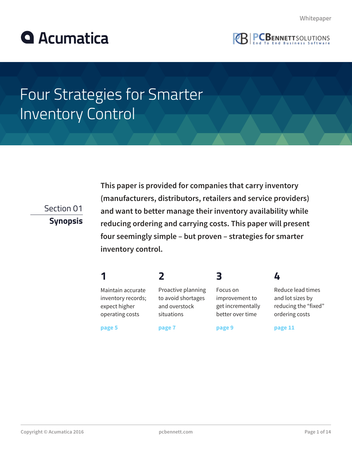



# Four Strategies for Smarter Inventory Control

Section 01

**Synopsis**

**This paper is provided for companies that carry inventory (manufacturers, distributors, retailers and service providers) and want to better manage their inventory availability while reducing ordering and carrying costs. This paper will present four seemingly simple – but proven – strategies for smarter inventory control.**

|                                                                             |                                                                         | Β                                                                   |                                                                                 |
|-----------------------------------------------------------------------------|-------------------------------------------------------------------------|---------------------------------------------------------------------|---------------------------------------------------------------------------------|
| Maintain accurate<br>inventory records;<br>expect higher<br>operating costs | Proactive planning<br>to avoid shortages<br>and overstock<br>situations | Focus on<br>improvement to<br>get incrementally<br>better over time | Reduce lead times<br>and lot sizes by<br>reducing the "fixed"<br>ordering costs |
| page 5                                                                      | page 7                                                                  | page 9                                                              | page 11                                                                         |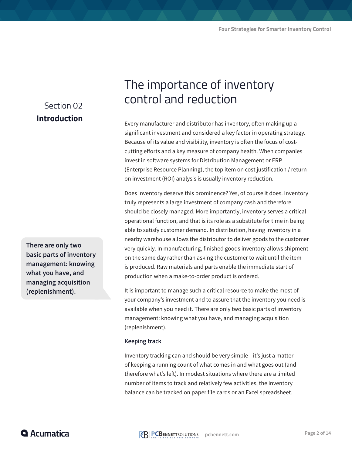### Section 02

#### **Introduction**

**There are only two basic parts of inventory management: knowing what you have, and managing acquisition (replenishment).**

## The importance of inventory control and reduction

Every manufacturer and distributor has inventory, often making up a significant investment and considered a key factor in operating strategy. Because of its value and visibility, inventory is often the focus of costcutting efforts and a key measure of company health. When companies invest in software systems for Distribution Management or ERP (Enterprise Resource Planning), the top item on cost justification / return on investment (ROI) analysis is usually inventory reduction.

Does inventory deserve this prominence? Yes, of course it does. Inventory truly represents a large investment of company cash and therefore should be closely managed. More importantly, inventory serves a critical operational function, and that is its role as a substitute for time in being able to satisfy customer demand. In distribution, having inventory in a nearby warehouse allows the distributor to deliver goods to the customer very quickly. In manufacturing, finished goods inventory allows shipment on the same day rather than asking the customer to wait until the item is produced. Raw materials and parts enable the immediate start of production when a make-to-order product is ordered.

It is important to manage such a critical resource to make the most of your company's investment and to assure that the inventory you need is available when you need it. There are only two basic parts of inventory management: knowing what you have, and managing acquisition (replenishment).

#### **Keeping track**

Inventory tracking can and should be very simple—it's just a matter of keeping a running count of what comes in and what goes out (and therefore what's left). In modest situations where there are a limited number of items to track and relatively few activities, the inventory balance can be tracked on paper file cards or an Excel spreadsheet.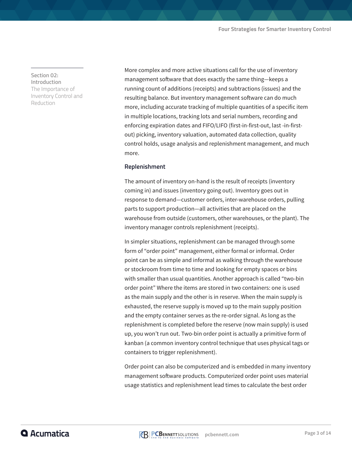**Section 02: Introduction** The Importance of Inventory Control and Reduction

More complex and more active situations call for the use of inventory management software that does exactly the same thing—keeps a running count of additions (receipts) and subtractions (issues) and the resulting balance. But inventory management software can do much more, including accurate tracking of multiple quantities of a specific item in multiple locations, tracking lots and serial numbers, recording and enforcing expiration dates and FIFO/LIFO (first-in-first-out, last -in-firstout) picking, inventory valuation, automated data collection, quality control holds, usage analysis and replenishment management, and much more.

#### **Replenishment**

The amount of inventory on-hand is the result of receipts (inventory coming in) and issues (inventory going out). Inventory goes out in response to demand—customer orders, inter-warehouse orders, pulling parts to support production—all activities that are placed on the warehouse from outside (customers, other warehouses, or the plant). The inventory manager controls replenishment (receipts).

In simpler situations, replenishment can be managed through some form of "order point" management, either formal or informal. Order point can be as simple and informal as walking through the warehouse or stockroom from time to time and looking for empty spaces or bins with smaller than usual quantities. Another approach is called "two-bin order point" Where the items are stored in two containers: one is used as the main supply and the other is in reserve. When the main supply is exhausted, the reserve supply is moved up to the main supply position and the empty container serves as the re-order signal. As long as the replenishment is completed before the reserve (now main supply) is used up, you won't run out. Two-bin order point is actually a primitive form of kanban (a common inventory control technique that uses physical tags or containers to trigger replenishment).

Order point can also be computerized and is embedded in many inventory management software products. Computerized order point uses material usage statistics and replenishment lead times to calculate the best order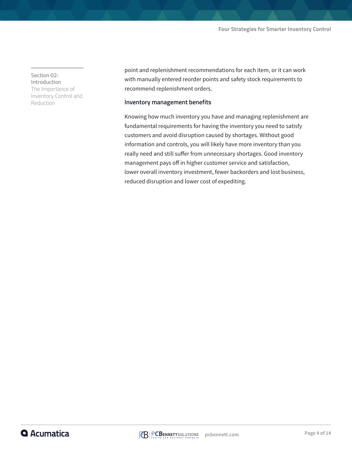**Section 02: Introduction** The Importance of Inventory Control and Reduction

point and replenishment recommendations for each item, or it can work with manually entered reorder points and safety stock requirements to recommend replenishment orders.

#### **Inventory management benefits**

Knowing how much inventory you have and managing replenishment are fundamental requirements for having the inventory you need to satisfy customers and avoid disruption caused by shortages. Without good information and controls, you will likely have more inventory than you really need and still suffer from unnecessary shortages. Good inventory management pays off in higher customer service and satisfaction, lower overall inventory investment, fewer backorders and lost business, reduced disruption and lower cost of expediting.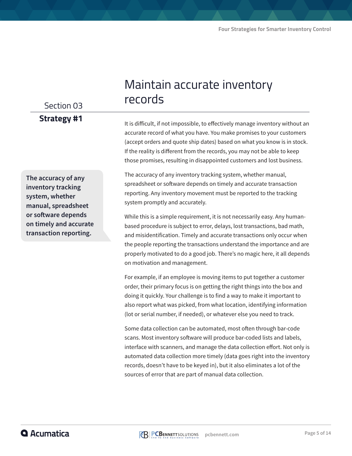### Section 03 **Strategy #1**

#### **The accuracy of any inventory tracking system, whether manual, spreadsheet or software depends on timely and accurate transaction reporting.**

## Maintain accurate inventory records

It is difficult, if not impossible, to effectively manage inventory without an accurate record of what you have. You make promises to your customers (accept orders and quote ship dates) based on what you know is in stock. If the reality is different from the records, you may not be able to keep those promises, resulting in disappointed customers and lost business.

The accuracy of any inventory tracking system, whether manual, spreadsheet or software depends on timely and accurate transaction reporting. Any inventory movement must be reported to the tracking system promptly and accurately.

While this is a simple requirement, it is not necessarily easy. Any humanbased procedure is subject to error, delays, lost transactions, bad math, and misidentification. Timely and accurate transactions only occur when the people reporting the transactions understand the importance and are properly motivated to do a good job. There's no magic here, it all depends on motivation and management.

For example, if an employee is moving items to put together a customer order, their primary focus is on getting the right things into the box and doing it quickly. Your challenge is to find a way to make it important to also report what was picked, from what location, identifying information (lot or serial number, if needed), or whatever else you need to track.

Some data collection can be automated, most often through bar-code scans. Most inventory software will produce bar-coded lists and labels, interface with scanners, and manage the data collection effort. Not only is automated data collection more timely (data goes right into the inventory records, doesn't have to be keyed in), but it also eliminates a lot of the sources of error that are part of manual data collection.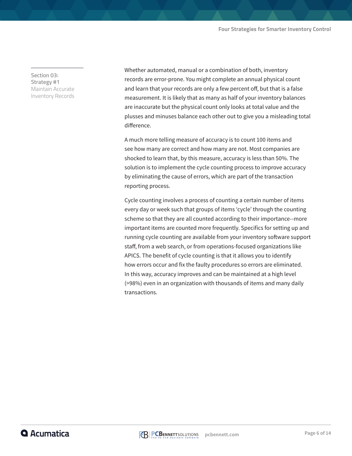**Section 03: Strategy #1** Maintain Accurate Inventory Records

Whether automated, manual or a combination of both, inventory records are error-prone. You might complete an annual physical count and learn that your records are only a few percent off, but that is a false measurement. It is likely that as many as half of your inventory balances are inaccurate but the physical count only looks at total value and the plusses and minuses balance each other out to give you a misleading total difference.

A much more telling measure of accuracy is to count 100 items and see how many are correct and how many are not. Most companies are shocked to learn that, by this measure, accuracy is less than 50%. The solution is to implement the cycle counting process to improve accuracy by eliminating the cause of errors, which are part of the transaction reporting process.

Cycle counting involves a process of counting a certain number of items every day or week such that groups of items 'cycle' through the counting scheme so that they are all counted according to their importance--more important items are counted more frequently. Specifics for setting up and running cycle counting are available from your inventory software support staff, from a web search, or from operations-focused organizations like APICS. The benefit of cycle counting is that it allows you to identify how errors occur and fix the faulty procedures so errors are eliminated. In this way, accuracy improves and can be maintained at a high level (>98%) even in an organization with thousands of items and many daily transactions.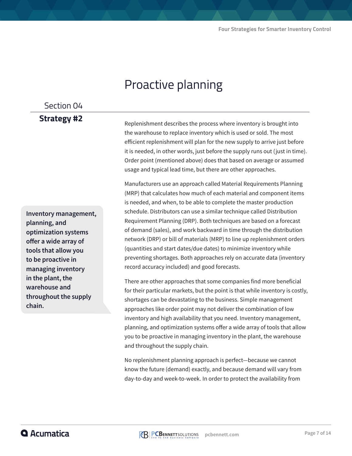## Proactive planning

### Section 04

### **Strategy #2**

**Inventory management, planning, and optimization systems offer a wide array of tools that allow you to be proactive in managing inventory in the plant, the warehouse and throughout the supply chain.**

Replenishment describes the process where inventory is brought into the warehouse to replace inventory which is used or sold. The most efficient replenishment will plan for the new supply to arrive just before it is needed, in other words, just before the supply runs out (just in time). Order point (mentioned above) does that based on average or assumed usage and typical lead time, but there are other approaches.

Manufacturers use an approach called Material Requirements Planning (MRP) that calculates how much of each material and component items is needed, and when, to be able to complete the master production schedule. Distributors can use a similar technique called Distribution Requirement Planning (DRP). Both techniques are based on a forecast of demand (sales), and work backward in time through the distribution network (DRP) or bill of materials (MRP) to line up replenishment orders (quantities and start dates/due dates) to minimize inventory while preventing shortages. Both approaches rely on accurate data (inventory record accuracy included) and good forecasts.

There are other approaches that some companies find more beneficial for their particular markets, but the point is that while inventory is costly, shortages can be devastating to the business. Simple management approaches like order point may not deliver the combination of low inventory and high availability that you need. Inventory management, planning, and optimization systems offer a wide array of tools that allow you to be proactive in managing inventory in the plant, the warehouse and throughout the supply chain.

No replenishment planning approach is perfect—because we cannot know the future (demand) exactly, and because demand will vary from day-to-day and week-to-week. In order to protect the availability from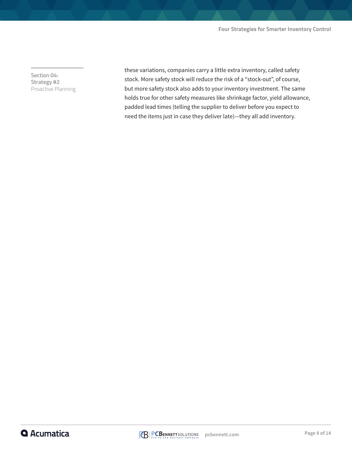**Section 04: Strategy #2** Proactive Planning these variations, companies carry a little extra inventory, called safety stock. More safety stock will reduce the risk of a "stock-out", of course, but more safety stock also adds to your inventory investment. The same holds true for other safety measures like shrinkage factor, yield allowance, padded lead times (telling the supplier to deliver before you expect to need the items just in case they deliver late)—they all add inventory.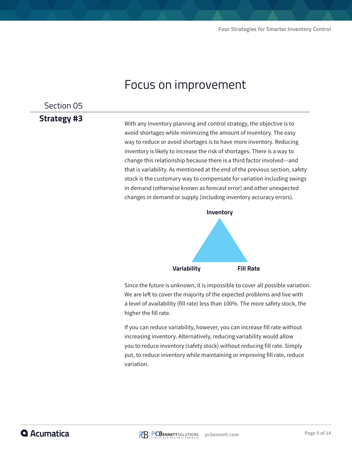## Focus on improvement

#### Section 05

### **Strategy #3**

With any inventory planning and control strategy, the objective is to avoid shortages while minimizing the amount of inventory. The easy way to reduce or avoid shortages is to have more inventory. Reducing inventory is likely to increase the risk of shortages. There is a way to change this relationship because there is a third factor involved—and that is variability. As mentioned at the end of the previous section, safety stock is the customary way to compensate for variation including swings in demand (otherwise known as forecast error) and other unexpected changes in demand or supply (including inventory accuracy errors).



Since the future is unknown, it is impossible to cover all possible variation. We are left to cover the majority of the expected problems and live with a level of availability (fill rate) less than 100%. The more safety stock, the higher the fill rate.

If you can reduce variability, however, you can increase fill rate without increasing inventory. Alternatively, reducing variability would allow you to reduce inventory (safety stock) without reducing fill rate. Simply put, to reduce inventory while maintaining or improving fill rate, reduce variation.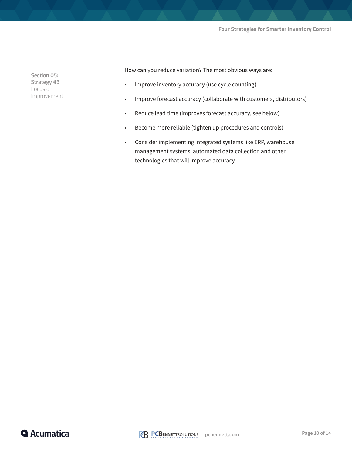#### **Four Strategies for Smarter Inventory Control**

**Section 05: Strategy #3** Focus on Improvement How can you reduce variation? The most obvious ways are:

- Improve inventory accuracy (use cycle counting)
- Improve forecast accuracy (collaborate with customers, distributors)
- Reduce lead time (improves forecast accuracy, see below)
- Become more reliable (tighten up procedures and controls)
- Consider implementing integrated systems like ERP, warehouse management systems, automated data collection and other technologies that will improve accuracy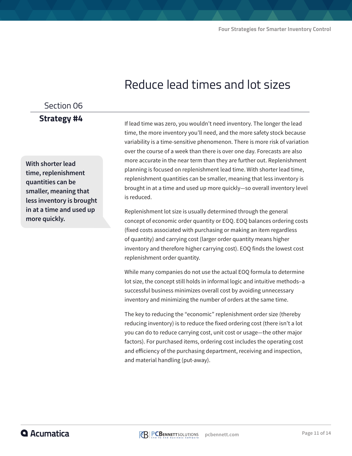## Reduce lead times and lot sizes

### Section 06 **Strategy #4**

**With shorter lead time, replenishment quantities can be smaller, meaning that less inventory is brought in at a time and used up more quickly.**

If lead time was zero, you wouldn't need inventory. The longer the lead time, the more inventory you'll need, and the more safety stock because variability is a time-sensitive phenomenon. There is more risk of variation over the course of a week than there is over one day. Forecasts are also more accurate in the near term than they are further out. Replenishment planning is focused on replenishment lead time. With shorter lead time, replenishment quantities can be smaller, meaning that less inventory is brought in at a time and used up more quickly—so overall inventory level is reduced.

Replenishment lot size is usually determined through the general concept of economic order quantity or EOQ. EOQ balances ordering costs (fixed costs associated with purchasing or making an item regardless of quantity) and carrying cost (larger order quantity means higher inventory and therefore higher carrying cost). EOQ finds the lowest cost replenishment order quantity.

While many companies do not use the actual EOQ formula to determine lot size, the concept still holds in informal logic and intuitive methods–a successful business minimizes overall cost by avoiding unnecessary inventory and minimizing the number of orders at the same time.

The key to reducing the "economic" replenishment order size (thereby reducing inventory) is to reduce the fixed ordering cost (there isn't a lot you can do to reduce carrying cost, unit cost or usage—the other major factors). For purchased items, ordering cost includes the operating cost and efficiency of the purchasing department, receiving and inspection, and material handling (put-away).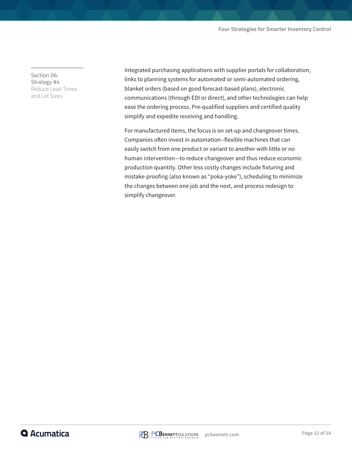**Section 06: Strategy #4** Reduce Lead Times and Lot Sizes

Integrated purchasing applications with supplier portals for collaboration, links to planning systems for automated or semi-automated ordering, blanket orders (based on good forecast-based plans), electronic communications (through EDI or direct), and other technologies can help ease the ordering process. Pre-qualified suppliers and certified quality simplify and expedite receiving and handling.

For manufactured items, the focus is on set-up and changeover times. Companies often invest in automation--flexible machines that can easily switch from one product or variant to another with little or no human intervention—to reduce changeover and thus reduce economic production quantity. Other less costly changes include fixturing and mistake-proofing (also known as "poka-yoke"), scheduling to minimize the changes between one job and the next, and process redesign to simplify changeover.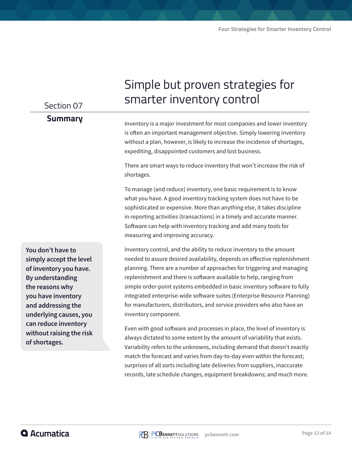#### Section 07

#### **Summary**

# smarter inventory control Inventory is a major investment for most companies and lower inventory

Simple but proven strategies for

is often an important management objective. Simply lowering inventory without a plan, however, is likely to increase the incidence of shortages, expediting, disappointed customers and lost business.

There are smart ways to reduce inventory that won't increase the risk of shortages.

To manage (and reduce) inventory, one basic requirement is to know what you have. A good inventory tracking system does not have to be sophisticated or expensive. More than anything else, it takes discipline in reporting activities (transactions) in a timely and accurate manner. Software can help with inventory tracking and add many tools for measuring and improving accuracy.

Inventory control, and the ability to reduce inventory to the amount needed to assure desired availability, depends on effective replenishment planning. There are a number of approaches for triggering and managing replenishment and there is software available to help, ranging from simple order-point systems embedded in basic inventory software to fully integrated enterprise-wide software suites (Enterprise Resource Planning) for manufacturers, distributors, and service providers who also have an inventory component.

Even with good software and processes in place, the level of inventory is always dictated to some extent by the amount of variability that exists. Variability refers to the unknowns, including demand that doesn't exactly match the forecast and varies from day-to-day even within the forecast; surprises of all sorts including late deliveries from suppliers, inaccurate records, late schedule changes, equipment breakdowns; and much more.

**You don't have to simply accept the level of inventory you have. By understanding the reasons why you have inventory and addressing the underlying causes, you can reduce inventory without raising the risk of shortages.**